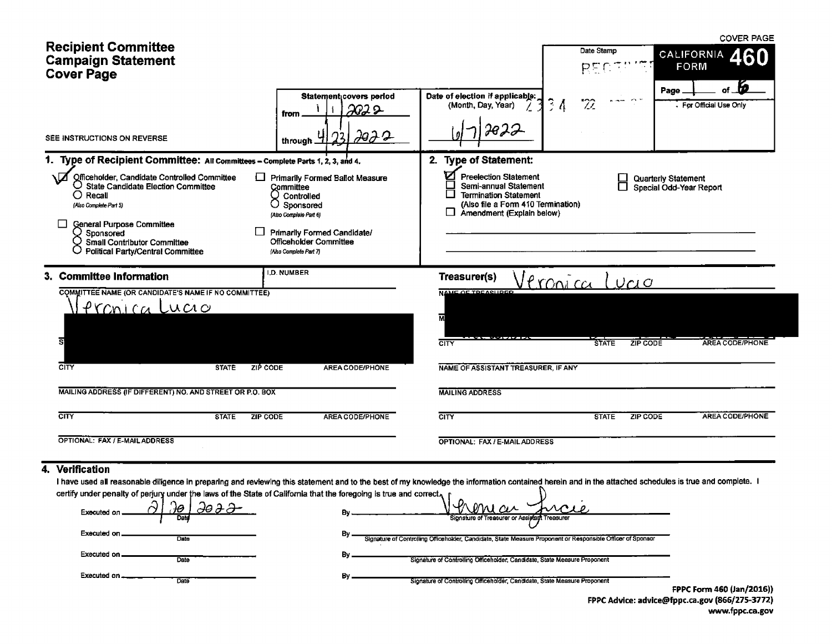| <b>Recipient Committee</b><br><b>Campaign Statement</b><br><b>Cover Page</b>                                                                                                                                                                                                                                                                                                     |                                                                                                                                                                                      |                                                                                                                                                                                        | Date Stamp<br>RΞ                      | <b>COVER PAGE</b><br><b>CALIFORNIA</b><br><b>FORM</b> |
|----------------------------------------------------------------------------------------------------------------------------------------------------------------------------------------------------------------------------------------------------------------------------------------------------------------------------------------------------------------------------------|--------------------------------------------------------------------------------------------------------------------------------------------------------------------------------------|----------------------------------------------------------------------------------------------------------------------------------------------------------------------------------------|---------------------------------------|-------------------------------------------------------|
| SEE INSTRUCTIONS ON REVERSE                                                                                                                                                                                                                                                                                                                                                      | Statement covers period<br>သာသ<br>from<br><u> 29 2 2</u><br>through                                                                                                                  | Date of election if applicable:<br>(Month, Day, Year)                                                                                                                                  | $3\,$ $\Lambda$                       | Page<br>For Official Use Only                         |
| 1. Type of Recipient Committee: All Committees - Complete Parts 1, 2, 3, and 4.<br>Officeholder, Candidate Controlled Committee<br>$\bigcirc$ State Candidate Election Committee<br>$\bigcirc$ Recall<br>Ο<br>(Also Complete Part 5)<br>General Purpose Committee<br>Sponsored<br>Small Contributor Committee<br>O Political Party/Central Committee                             | Primarily Formed Ballot Measure<br>Committee<br>Controlled<br>Sponsored<br>(Also Complete Part 6)<br>Primarily Formed Candidate/<br>Officeholder Committee<br>(Also Complete Part 7) | 2. Type of Statement:<br><b>Preelection Statement</b><br>Semi-annual Statement<br>П<br><b>Termination Statement</b><br>(Also file a Form 410 Termination)<br>Amendment (Explain below) |                                       | Quarterly Statement<br>Special Odd-Year Report        |
| 3. Committee Information<br>COMMITTEE NAME (OR CANDIDATE'S NAME IF NO COMMITTEE)<br><u> Pronica Lucio</u><br>डा<br>$\overline{\text{c}}$<br>ZIP CODE<br><b>STATE</b>                                                                                                                                                                                                             | <b>I.D. NUMBER</b><br>AREA CODE/PHONE                                                                                                                                                | Treasurer(s)<br><b>NAME OF TOPARHOOD</b><br>м<br>CITY<br>NAME OF ASSISTANT TREASURER, IF ANY                                                                                           | <u>Pronica</u><br>UCl<br><b>STATE</b> | <b>AREA CODE/PHONE</b><br><b>ZIP CODE</b>             |
| MAILING ADDRESS (IF DIFFERENT) NO. AND STREET OR P.O. BOX<br>CITY<br><b>ZIP CODE</b><br><b>STATE</b><br>OPTIONAL: FAX / E-MAIL ADDRESS                                                                                                                                                                                                                                           | AREA CODE/PHONE                                                                                                                                                                      | <b>MAILING ADDRESS</b><br><b>CITY</b><br>OPTIONAL: FAX / E-MAIL ADDRESS                                                                                                                | <b>STATE</b>                          | <b>AREA CODE/PHONE</b><br><b>ZIP CODE</b>             |
| Verification<br>4.<br>I have used all reasonable diligence in preparing and reviewing this statement and to the best of my knowledge the information contained herein and in the attached schedules is true and complete. I<br>certify under penalty of perjury under the laws of the State of California that the foregoing is true and correct,<br>Heəə<br>Executed on<br>Date | Bν                                                                                                                                                                                   | ML ALA<br>Sionature of Treasurer or Assistant Treasurer                                                                                                                                |                                       |                                                       |

 $By -$ 

 $By$ 

Executed on \_\_\_\_\_\_

Executed on \_\_\_\_\_

Executed on ............

Date

Date

Date

By - Signature of Controlling Officeholder, Candidate, State Measure Proponent or Responsible Officer of Sponsor

Signature of Controlling Officeholder, Candidate, State Measure Proponent

Signature of Controlling Officeholder, Candidate, State Measure Proponent

| ----------<br>FPPC Form 460 (Jan/2016))        |  |
|------------------------------------------------|--|
| FPPC Advice: advice@fppc.ca.gov (866/275-3772) |  |
| www.fppc.ca.gov                                |  |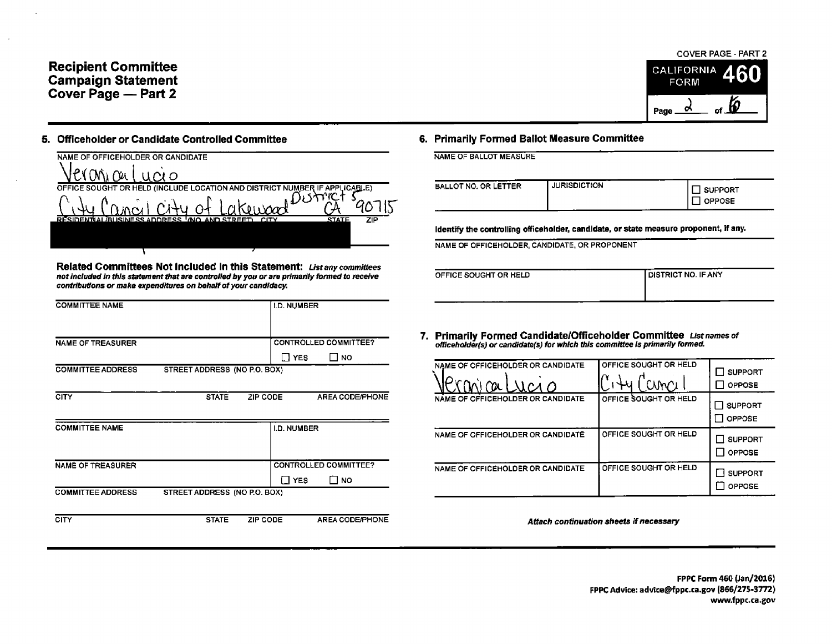## Recipient Committee CALIFORNIA **Campaign Statement** FORM Cover Page — Part 2

## 5. Officeholder or Candidate Controlled Committee 6. Primarily Formed Ballot Measure Committee

| NAME OF OFFICEHOLDER OR CANDIDATE                                                             | NAME OF BALLOT MEASURE                                    |                     |
|-----------------------------------------------------------------------------------------------|-----------------------------------------------------------|---------------------|
| Jeroni cei 1<br>'ucio                                                                         |                                                           |                     |
| OFFICE SOUGHT OR HELD (INCLUDE LOCATION AND DISTRICT NUMBER IF APPLICABLE)                    | <b>BALLOT NO. OR LETTER</b>                               | <b>JURISDICTION</b> |
|                                                                                               |                                                           |                     |
| <b>RESIDENTIAL GUISINESS ADDRESS ! (NO. AND STREET)</b><br>ZIP<br><b>STATE</b><br><b>CITY</b> | Identify the controlling officeholder, candidate, or stat |                     |
|                                                                                               | NAME OF OFFICEHOLDER, CANDIDATE, OR PROPONENT             |                     |

Related Committees Not Included in this Statement: List any committees not included in this statement that are controlled by you or are primarily formed to receive contributions or make expenditures on behalf of your candidacy.

| <b>COMMITTEE NAME</b>       | <b>I.D. NUMBER</b>                                         |                                                                                                                                                     |                                  |                              |
|-----------------------------|------------------------------------------------------------|-----------------------------------------------------------------------------------------------------------------------------------------------------|----------------------------------|------------------------------|
| <b>NAME OF TREASURER</b>    | <b>CONTROLLED COMMITTEE?</b>                               | 7. Primarily Formed Candidate/Officeholder Committee List names of<br>officeholder(s) or candidate(s) for which this committee is primarily formed. |                                  |                              |
| <b>COMMITTEE ADDRESS</b>    | $\square$ NO<br>$\Box$ YES<br>STREET ADDRESS (NO P.O. BOX) | NAME OF OFFICEHOLDER OR CANDIDATE                                                                                                                   | OFFICE SOUGHT OR HELD<br>CUMOJ " | ⊟ s∪<br>$\square$ or         |
| <b>CITY</b><br><b>STATE</b> | AREA CODE/PHONE<br>ZIP CODE                                | NAME OF OFFICEHOLDER OR CANDIDATE                                                                                                                   | OFFICE SOUGHT OR HELD            | $\square$ su<br>$\square$ op |
| <b>COMMITTEE NAME</b>       | I.D. NUMBER                                                | NAME OF OFFICEHOLDER OR CANDIDATE                                                                                                                   | OFFICE SOUGHT OR HELD            | □ sυ<br>$\square$ or         |
| NAME OF TREASURER           | <b>CONTROLLED COMMITTEE?</b><br>$\square$ NO<br>$\Box$ YES | NAME OF OFFICEHOLDER OR CANDIDATE                                                                                                                   | OFFICE SOUGHT OR HELD            | $\Box$ su<br>$\square$ or    |
| <b>COMMITTEE ADDRESS</b>    | STREET ADDRESS (NO P.O. BOX)                               |                                                                                                                                                     |                                  |                              |

# COVER PAGE- PART 2 Page  $\frac{\partial}{\partial s}$  of  $\frac{\partial}{\partial s}$

| <b>BALLOT NO. OR LETTER</b> | <b>JURISDICTION</b> | - -<br><b>SUPPORT</b> |
|-----------------------------|---------------------|-----------------------|
|                             |                     | <b>OPPOSE</b>         |

Identify the controlling officeholder, candidate, or state measure proponent, if any.

| OFFICE SOUGHT OR HELD | <b>I DISTRICT NO. IF ANY</b> |
|-----------------------|------------------------------|
|                       |                              |
|                       |                              |
|                       |                              |
|                       |                              |
|                       |                              |

| NAME OF OFFICEHOLDER OR CANDIDATE<br>ne<br>лса о | OFFICE SOUGHT OR HELD | <b>SUPPORT</b><br>OPPOSE        |
|--------------------------------------------------|-----------------------|---------------------------------|
| NAME OF OFFICEHOLDER OR CANDIDATE                | OFFICE SOUGHT OR HELD | <b>SUPPORT</b><br>OPPOSE        |
| NAME OF OFFICEHOLDER OR CANDIDATE                | OFFICE SOUGHT OR HELD | <b>SUPPORT</b><br><b>OPPOSE</b> |
| NAME OF OFFICEHOLDER OR CANDIDATE                | OFFICE SOUGHT OR HELD | <b>SUPPORT</b><br>OPPOSE        |

CITY STATE ZIP CODE AREA CODE THE STATE AREA CODEPTIONE Attach continuation sheets if necessary

FPPC Form 460( Jan/ 2026) FPPC Advice: advice@fppc.ca.gov (866/275-3772) www.fppc. ca. gov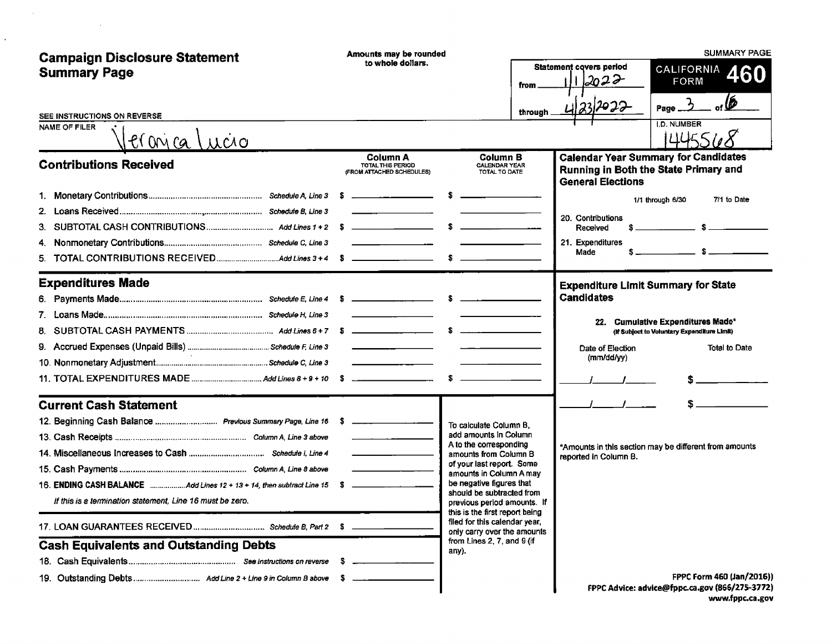| <b>Campaign Disclosure Statement</b>                                          | Amounts may be rounded<br>to whole dollars.<br>from                                                                   |                                                                                                | <b>SUMMARY PAGE</b>                                                                                              |  |  |
|-------------------------------------------------------------------------------|-----------------------------------------------------------------------------------------------------------------------|------------------------------------------------------------------------------------------------|------------------------------------------------------------------------------------------------------------------|--|--|
| <b>Summary Page</b>                                                           |                                                                                                                       |                                                                                                | <b>Statement covers period</b><br><b>CALIFORNIA</b><br>460<br>2022<br><b>FORM</b>                                |  |  |
|                                                                               |                                                                                                                       | through                                                                                        | ĺĎ<br>232022<br>Page                                                                                             |  |  |
| SEE INSTRUCTIONS ON REVERSE<br>NAME OF FILER<br>er <u>onica Lucio</u>         |                                                                                                                       |                                                                                                | I.D. NUMBER<br>14455                                                                                             |  |  |
| <b>Contributions Received</b>                                                 | <b>Column A</b><br>TOTAL THIS PERIOD<br>(FROM ATTACHED SCHEDULES)                                                     | <b>Column B</b><br><b>CALENDAR YEAR</b><br>TOTAL TO DATE                                       | <b>Calendar Year Summary for Candidates</b><br>Running in Both the State Primary and<br><b>General Elections</b> |  |  |
|                                                                               |                                                                                                                       | -\$                                                                                            | 7/1 to Date<br>1/1 through 6/30                                                                                  |  |  |
|                                                                               |                                                                                                                       |                                                                                                |                                                                                                                  |  |  |
| 3.                                                                            |                                                                                                                       |                                                                                                | 20. Contributions<br>Received                                                                                    |  |  |
| 4.                                                                            |                                                                                                                       |                                                                                                | 21. Expenditures                                                                                                 |  |  |
| 5.                                                                            |                                                                                                                       |                                                                                                | $s$ $s$ $s$<br>Made                                                                                              |  |  |
| <b>Expenditures Made</b>                                                      |                                                                                                                       |                                                                                                | <b>Expenditure Limit Summary for State</b>                                                                       |  |  |
|                                                                               |                                                                                                                       |                                                                                                | Candidates                                                                                                       |  |  |
|                                                                               |                                                                                                                       |                                                                                                |                                                                                                                  |  |  |
| 8.                                                                            |                                                                                                                       | $\mathbf{s}$ and $\mathbf{s}$ and $\mathbf{s}$ and $\mathbf{s}$                                | 22. Cumulative Expenditures Made*<br>(if Subject to Voluntary Expenditure Limit)                                 |  |  |
|                                                                               |                                                                                                                       |                                                                                                | <b>Total to Date</b><br>Date of Election                                                                         |  |  |
|                                                                               | <u> 1989 - Johann Barn, mars and de Branch Barn, mars and de Branch Barn, mars and de Branch Barn, mars and de Br</u> |                                                                                                | (mm/dd/yy)                                                                                                       |  |  |
|                                                                               |                                                                                                                       |                                                                                                |                                                                                                                  |  |  |
| <b>Current Cash Statement</b>                                                 |                                                                                                                       |                                                                                                |                                                                                                                  |  |  |
| 12. Beginning Cash Balance  Previous Summary Page, Line 16 \$ _______________ |                                                                                                                       |                                                                                                |                                                                                                                  |  |  |
|                                                                               |                                                                                                                       | To calculate Column B,<br>add amounts in Column                                                |                                                                                                                  |  |  |
|                                                                               |                                                                                                                       | A to the corresponding<br>amounts from Column B                                                | *Amounts in this section may be different from amounts<br>reported in Column B.                                  |  |  |
|                                                                               |                                                                                                                       | of your last report. Some                                                                      |                                                                                                                  |  |  |
| 16. ENDING CASH BALANCE Add Lines 12 + 13 + 14, then subtract Line 15 \$      |                                                                                                                       | amounts in Column A may<br>be negative figures that                                            |                                                                                                                  |  |  |
| If this is a termination statement. Line 16 must be zero.                     |                                                                                                                       | should be subtracted from<br>previous period amounts. If                                       |                                                                                                                  |  |  |
|                                                                               |                                                                                                                       | this is the first report being<br>filed for this calendar year,<br>only carry over the amounts |                                                                                                                  |  |  |
| <b>Cash Equivalents and Outstanding Debts</b>                                 |                                                                                                                       | from Lines 2, 7, and 9 (if<br>anv).                                                            |                                                                                                                  |  |  |
|                                                                               |                                                                                                                       |                                                                                                |                                                                                                                  |  |  |
|                                                                               |                                                                                                                       |                                                                                                | FPPC Form 460 (Jan/2016))                                                                                        |  |  |
|                                                                               |                                                                                                                       |                                                                                                | FPPC Advice: advice@fppc.ca.gov (866/275-3772)                                                                   |  |  |

 $\mathcal{L}^{\text{max}}_{\text{max}}$ 

 $\frac{1}{2}$ 

www.fppc.ca.gov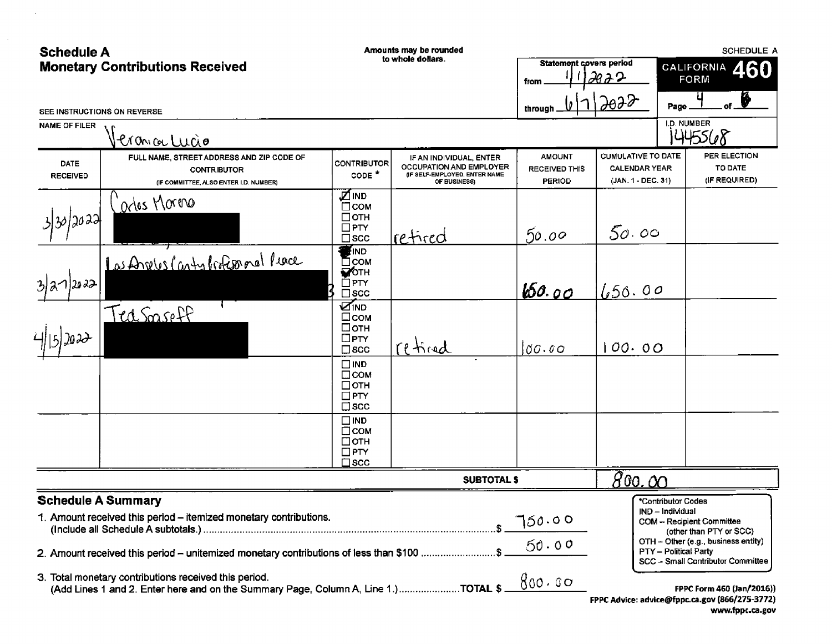| <b>Schedule A</b>              | <b>Monetary Contributions Received</b>                                                                                                                        |                                                                             | Amounts may be rounded<br>to whole dollars.                                                                | Statement covers period                                | <u> 2922</u>                                                            | SCHEDULE A<br>460<br><b>CALIFORNIA</b><br><b>FORM</b>                                                                                                           |
|--------------------------------|---------------------------------------------------------------------------------------------------------------------------------------------------------------|-----------------------------------------------------------------------------|------------------------------------------------------------------------------------------------------------|--------------------------------------------------------|-------------------------------------------------------------------------|-----------------------------------------------------------------------------------------------------------------------------------------------------------------|
|                                | SEE INSTRUCTIONS ON REVERSE                                                                                                                                   |                                                                             |                                                                                                            | from<br>through                                        | 2022                                                                    | ₩<br>Page                                                                                                                                                       |
| <b>NAME OF FILER</b>           | Pronica Lucio                                                                                                                                                 |                                                                             |                                                                                                            |                                                        |                                                                         | I.D. NUMBER<br>1445568                                                                                                                                          |
| <b>DATE</b><br><b>RECEIVED</b> | FULL NAME, STREET ADDRESS AND ZIP CODE OF<br><b>CONTRIBUTOR</b><br>(IF COMMITTEE, ALSO ENTER I.D. NUMBER)                                                     | <b>CONTRIBUTOR</b><br>$\texttt{coDE}$ *                                     | IF AN INDIVIDUAL, ENTER<br><b>OCCUPATION AND EMPLOYER</b><br>(IF SELF-EMPLOYED, ENTER NAME<br>OF BUSINESS) | <b>AMOUNT</b><br><b>RECEIVED THIS</b><br><b>PERIOD</b> | <b>CUMULATIVE TO DATE</b><br><b>CALENDAR YEAR</b><br>(JAN. 1 - DEC. 31) | PER ELECTION<br>TO DATE<br>(IF REQUIRED)                                                                                                                        |
| 3/30/2022                      | Carlos Moreno                                                                                                                                                 | <b>ZIND</b><br>⊡сом<br>$\Box$ OTH<br>$\square$ PTY<br>$\square$ scc         | retired                                                                                                    | 50.00                                                  | 50.00                                                                   |                                                                                                                                                                 |
| 3 31 2022                      | Las Angles Canty brokesporal Peace                                                                                                                            | <b>FIND</b><br>⊟сом<br><b>MOTH</b><br>$\Box$ PTY<br>$\square$ scc           |                                                                                                            | b50.00                                                 | 1.50.00                                                                 |                                                                                                                                                                 |
|                                | Teasaseff                                                                                                                                                     | <b>ZIND</b><br>$\square$ сом<br>⊟отн<br>$\square$ PTY<br>$\square$ scc      | reticed                                                                                                    | 00.00                                                  | 00.00                                                                   |                                                                                                                                                                 |
|                                |                                                                                                                                                               | $\square$ IND<br>$\Box$ COM<br>$\Box$ OTH<br>$\square$ PTY<br>$\square$ scc |                                                                                                            |                                                        |                                                                         |                                                                                                                                                                 |
|                                |                                                                                                                                                               | $\square$ IND<br>$\Box$ сом<br>$\Box$ OTH<br>$\square$ PTY<br>$\Box$ scc    |                                                                                                            |                                                        |                                                                         |                                                                                                                                                                 |
|                                |                                                                                                                                                               |                                                                             | <b>SUBTOTAL \$</b>                                                                                         |                                                        | <u>800.00</u>                                                           |                                                                                                                                                                 |
| <b>Schedule A Summary</b>      | 1. Amount received this period - itemized monetary contributions.<br>2. Amount received this period - unitemized monetary contributions of less than \$100 \$ |                                                                             |                                                                                                            | 750.00<br>50.00                                        |                                                                         | *Contributor Codes<br>IND - Individual<br>COM -- Recipient Committee<br>(other than PTY or SCC)<br>OTH - Other (e.g., business entity)<br>PTY – Political Party |
|                                | 3. Total monetary contributions received this period.<br>(Add Lines 1 and 2. Enter here and on the Summary Page, Column A, Line 1.) TOTAL \$                  |                                                                             |                                                                                                            | 800.00                                                 |                                                                         | SCC - Small Contributor Committee<br>FPPC Form 460 (Jan/2016))<br>FPPC Advice: advice@fppc.ca.gov (866/275-3772)                                                |

 $\ddot{\phantom{a}}$ 

 $\mathcal{L}^{\mathcal{L}}$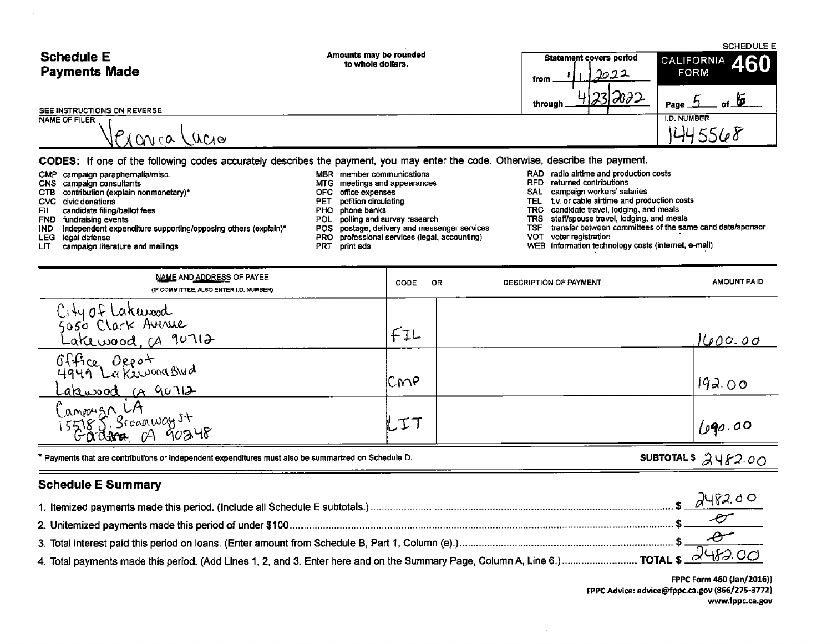| <b>Schedule E</b>                            | Amounts may be rounded                                                                                                          | Statement covers period | <b>SCHEDULE E</b>              |
|----------------------------------------------|---------------------------------------------------------------------------------------------------------------------------------|-------------------------|--------------------------------|
| <b>Payments Made</b>                         | to whole dollars.                                                                                                               | 2022<br>from            | $\vert$ CALIFORNIA 460<br>FORM |
|                                              |                                                                                                                                 | 17212022<br>through.    | Page                           |
| SEE INSTRUCTIONS ON REVERSE<br>NAME OF FILER |                                                                                                                                 |                         | <b>I.D. NUMBER</b>             |
| <u>onica</u><br>/ MMG                        |                                                                                                                                 |                         |                                |
|                                              | CODES: If one of the following codes accurately describes the payment, you may enter the code. Otherwise, describe the payment. |                         |                                |

- CMP campaign paraphernalia/misc. <br>CNS campaign consultants MBR member communications and appearances RAD radio airtime and production costs<br>CNS campaign consultants CTB contribution (explain nonmonetary)\* OFC office expenses CVC civic donations<br>CVC civic donations CVC civic donations examples and the example of the PET petition circulating TEL tv. or cable airtime and production costs
	-
	-
	- FIL candidate filing/ballot fees<br>FND fundraising events events and meals<br>IND independent expenditure supporting/opposing others (explain)\* POL polling and survey research TRS staff/spouse travel, lodging, and meals<br>IND ind IND independent expenditure supporting/opposing others (explain)\* POS postage, delivery and messenger services TSF transfer between or explaint POS professional services (legal, accounting) VOT voter registration
	-
	- LEG legal defense<br>LEG legal defense PRO professional services (legal, accounting)<br>LIT campaign literature and mailings PRT print ads<br>PRT print ads
- 
- 
- 
- 
- 
- 
- -
- 
- MTG meetings and appearances and according meetings and appearances RFD returned contributions OFC office expenses
	-
	-
- FIL candidate filing/ballot fees **PHO** phone banks **PHO** phone banks **TRC** candidate travel, lodging, and meals
	-
	-
	-
	- WEB information technology costs (internet, e-mail)

| <b>NAME AND ADDRESS OF PAYEE</b><br>(IF COMMITTEE, ALSO ENTER I.D. NUMBER) | <b>OR</b><br>CODE | DESCRIPTION OF PAYMENT | <b>AMOUNT PAID</b> |
|----------------------------------------------------------------------------|-------------------|------------------------|--------------------|
| City of Lakewood<br>5050 Clark Avenue<br>Lakewood, ca 90712                | FIL               |                        | 1000.00            |
| Office Oceof<br>4949 La Kewood Stud<br>Lakewood in 90712                   | ICMP              |                        | 192.00             |
| Campoizn LA<br>155185 Scogaway st<br>15600000 CA 90248                     | ルエコ               |                        | 690.00             |

\* Payments that are contributions or independent expenditures must also be summarized on Schedule D.<br>
SUBTOTAL \$  $\mathcal{A}$  Y  $\mathcal{F}2.0$  O

### Schedule E Summary

| 8748200 |
|---------|
|         |
|         |
|         |

FPPC Form 460 (Jan/2016)) FPPC Advice: advice@fppc.ca.gov (866/275-3772) www.fppc. ca. gov